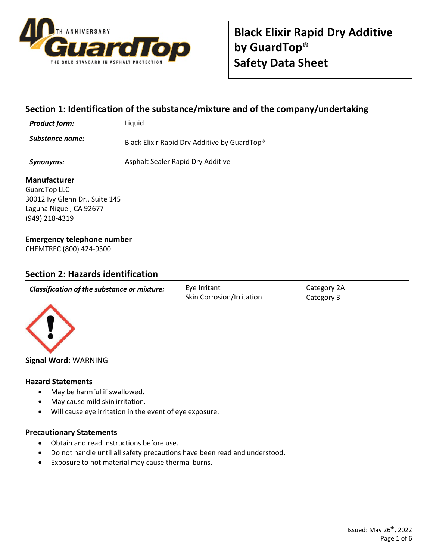

# **Section 1: Identification of the substance/mixture and of the company/undertaking**

*Product form:* Liquid

**Substance name:** Black Elixir Rapid Dry Additive by GuardTop<sup>®</sup>

**Synonyms:** Asphalt Sealer Rapid Dry Additive

### **Manufacturer**

GuardTop LLC 30012 Ivy Glenn Dr., Suite 145 Laguna Niguel, CA 92677 (949) 218-4319

# **Emergency telephone number**

CHEMTREC (800) 424-9300

# **Section 2: Hazards identification**

*Classification of the substance or mixture:* Eye Irritant

Skin Corrosion/Irritation

Category 2A Category 3



**Signal Word:** WARNING

### **Hazard Statements**

- May be harmful if swallowed.
- May cause mild skin irritation.
- Will cause eye irritation in the event of eye exposure.

### **Precautionary Statements**

- Obtain and read instructions before use.
- Do not handle until all safety precautions have been read and understood.
- Exposure to hot material may cause thermal burns.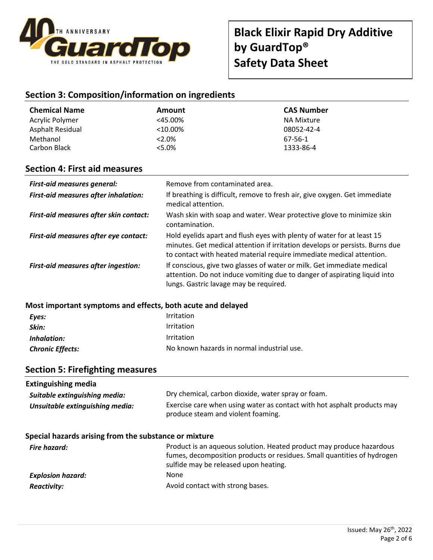

# **Section 3: Composition/information on ingredients**

| <b>Chemical Name</b> | Amount     | <b>CAS Number</b> |
|----------------------|------------|-------------------|
| Acrylic Polymer      | $<$ 45.00% | NA Mixture        |
| Asphalt Residual     | $<$ 10.00% | 08052-42-4        |
| Methanol             | $2.0\%$    | 67-56-1           |
| Carbon Black         | $5.0\%$    | 1333-86-4         |

# **Section 4: First aid measures**

| <b>First-aid measures general:</b>          | Remove from contaminated area.                                                                                                                                                                                                 |
|---------------------------------------------|--------------------------------------------------------------------------------------------------------------------------------------------------------------------------------------------------------------------------------|
| <b>First-aid measures after inhalation:</b> | If breathing is difficult, remove to fresh air, give oxygen. Get immediate<br>medical attention.                                                                                                                               |
| First-aid measures after skin contact:      | Wash skin with soap and water. Wear protective glove to minimize skin<br>contamination.                                                                                                                                        |
| First-aid measures after eye contact:       | Hold eyelids apart and flush eyes with plenty of water for at least 15<br>minutes. Get medical attention if irritation develops or persists. Burns due<br>to contact with heated material require immediate medical attention. |
| <b>First-aid measures after ingestion:</b>  | If conscious, give two glasses of water or milk. Get immediate medical<br>attention. Do not induce vomiting due to danger of aspirating liquid into<br>lungs. Gastric lavage may be required.                                  |

### **Most important symptoms and effects, both acute and delayed**

| Eyes:                   | Irritation                                 |
|-------------------------|--------------------------------------------|
| Skin:                   | Irritation                                 |
| Inhalation:             | Irritation                                 |
| <b>Chronic Effects:</b> | No known hazards in normal industrial use. |

# **Section 5: Firefighting measures**

| <b>Extinguishing media</b>                            |                                                                                                                                                                                          |
|-------------------------------------------------------|------------------------------------------------------------------------------------------------------------------------------------------------------------------------------------------|
| Suitable extinguishing media:                         | Dry chemical, carbon dioxide, water spray or foam.                                                                                                                                       |
| Unsuitable extinguishing media:                       | Exercise care when using water as contact with hot asphalt products may<br>produce steam and violent foaming.                                                                            |
| Special hazards arising from the substance or mixture |                                                                                                                                                                                          |
| Fire hazard:                                          | Product is an aqueous solution. Heated product may produce hazardous<br>fumes, decomposition products or residues. Small quantities of hydrogen<br>sulfide may be released upon heating. |
| <b>Explosion hazard:</b>                              | None                                                                                                                                                                                     |
| <b>Reactivity:</b>                                    | Avoid contact with strong bases.                                                                                                                                                         |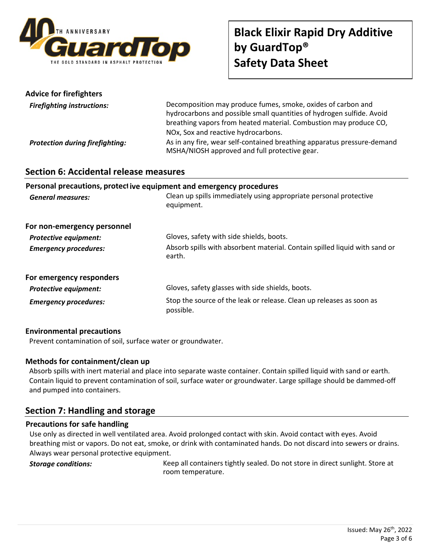

| <b>Advice for firefighters</b>         |                                                                                                                                                                                                                                                   |
|----------------------------------------|---------------------------------------------------------------------------------------------------------------------------------------------------------------------------------------------------------------------------------------------------|
| <b>Firefighting instructions:</b>      | Decomposition may produce fumes, smoke, oxides of carbon and<br>hydrocarbons and possible small quantities of hydrogen sulfide. Avoid<br>breathing vapors from heated material. Combustion may produce CO,<br>NOx, Sox and reactive hydrocarbons. |
| <b>Protection during firefighting:</b> | As in any fire, wear self-contained breathing apparatus pressure-demand<br>MSHA/NIOSH approved and full protective gear.                                                                                                                          |

# **Section 6: Accidental release measures**

### **Personal precautions, protect ive equipment and emergency procedures**

| <b>General measures:</b>     | Clean up spills immediately using appropriate personal protective<br>equipment.      |
|------------------------------|--------------------------------------------------------------------------------------|
| For non-emergency personnel  |                                                                                      |
| <b>Protective equipment:</b> | Gloves, safety with side shields, boots.                                             |
| <b>Emergency procedures:</b> | Absorb spills with absorbent material. Contain spilled liquid with sand or<br>earth. |
| For emergency responders     |                                                                                      |
| <b>Protective equipment:</b> | Gloves, safety glasses with side shields, boots.                                     |
| <b>Emergency procedures:</b> | Stop the source of the leak or release. Clean up releases as soon as<br>possible.    |

### **Environmental precautions**

Prevent contamination of soil, surface water or groundwater.

### **Methods for containment/clean up**

Absorb spills with inert material and place into separate waste container. Contain spilled liquid with sand or earth. Contain liquid to prevent contamination of soil, surface water or groundwater. Large spillage should be dammed-off and pumped into containers.

# **Section 7: Handling and storage**

### **Precautions for safe handling**

Use only as directed in well ventilated area. Avoid prolonged contact with skin. Avoid contact with eyes. Avoid breathing mist or vapors. Do not eat, smoke, or drink with contaminated hands. Do not discard into sewers or drains. Always wear personal protective equipment.

**Storage conditions:** Keep all containers tightly sealed. Do not store in direct sunlight. Store at room temperature.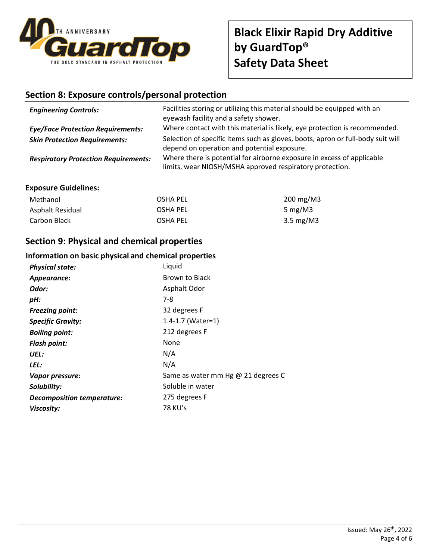

# **Black Elixir Rapid Dry Additive by GuardTop® Safety Data Sheet**

# **Section 8: Exposure controls/personal protection**

| <b>Engineering Controls:</b>                | Facilities storing or utilizing this material should be equipped with an<br>eyewash facility and a safety shower.                  |
|---------------------------------------------|------------------------------------------------------------------------------------------------------------------------------------|
| <b>Eye/Face Protection Requirements:</b>    | Where contact with this material is likely, eye protection is recommended.                                                         |
| <b>Skin Protection Requirements:</b>        | Selection of specific items such as gloves, boots, apron or full-body suit will<br>depend on operation and potential exposure.     |
| <b>Respiratory Protection Requirements:</b> | Where there is potential for airborne exposure in excess of applicable<br>limits, wear NIOSH/MSHA approved respiratory protection. |

### **Exposure Guidelines:**

| Methanol         | OSHA PEL | 200 mg/M3                  |
|------------------|----------|----------------------------|
| Asphalt Residual | OSHA PEL | 5 mg/M $3$                 |
| Carbon Black     | OSHA PEL | $3.5 \text{ mg}/\text{M}3$ |

# **Section 9: Physical and chemical properties**

### **Information on basic physical and chemical properties**

| <b>Physical state:</b>            | Liquid                             |
|-----------------------------------|------------------------------------|
| Appearance:                       | Brown to Black                     |
| Odor:                             | Asphalt Odor                       |
| pH:                               | 7-8                                |
| <b>Freezing point:</b>            | 32 degrees F                       |
| <b>Specific Gravity:</b>          | 1.4-1.7 (Water=1)                  |
| <b>Boiling point:</b>             | 212 degrees F                      |
| <b>Flash point:</b>               | None                               |
| UEL:                              | N/A                                |
| LEL:                              | N/A                                |
| Vapor pressure:                   | Same as water mm Hg @ 21 degrees C |
| Solubility:                       | Soluble in water                   |
| <b>Decomposition temperature:</b> | 275 degrees F                      |
| Viscosity:                        | 78 KU's                            |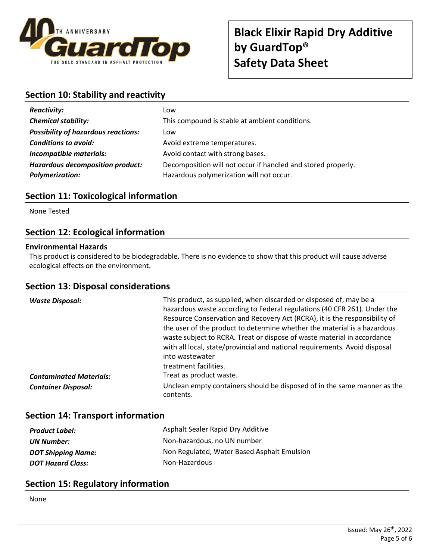

# **Section 10: Stability and reactivity**

| <b>Reactivity:</b>                         | Low                                                          |
|--------------------------------------------|--------------------------------------------------------------|
| <b>Chemical stability:</b>                 | This compound is stable at ambient conditions.               |
| <b>Possibility of hazardous reactions:</b> | Low                                                          |
| <b>Conditions to avoid:</b>                | Avoid extreme temperatures.                                  |
| Incompatible materials:                    | Avoid contact with strong bases.                             |
| <b>Hazardous decomposition product:</b>    | Decomposition will not occur if handled and stored properly. |
| <b>Polymerization:</b>                     | Hazardous polymerization will not occur.                     |

# **Section 11: Toxicological information**

None Tested

# **Section 12: Ecological information**

### **Environmental Hazards**

This product is considered to be biodegradable. There is no evidence to show that this product will cause adverse ecological effects on the environment.

# **Section 13: Disposal considerations**

| <b>Waste Disposal:</b><br><b>Contaminated Materials:</b> | This product, as supplied, when discarded or disposed of, may be a<br>hazardous waste according to Federal regulations (40 CFR 261). Under the<br>Resource Conservation and Recovery Act (RCRA), it is the responsibility of<br>the user of the product to determine whether the material is a hazardous<br>waste subject to RCRA. Treat or dispose of waste material in accordance<br>with all local, state/provincial and national requirements. Avoid disposal<br>into wastewater<br>treatment facilities.<br>Treat as product waste. |
|----------------------------------------------------------|------------------------------------------------------------------------------------------------------------------------------------------------------------------------------------------------------------------------------------------------------------------------------------------------------------------------------------------------------------------------------------------------------------------------------------------------------------------------------------------------------------------------------------------|
|                                                          |                                                                                                                                                                                                                                                                                                                                                                                                                                                                                                                                          |
| <b>Container Disposal:</b>                               | Unclean empty containers should be disposed of in the same manner as the<br>contents.                                                                                                                                                                                                                                                                                                                                                                                                                                                    |

# **Section 14: Transport information**

| <b>Product Label:</b>     | Asphalt Sealer Rapid Dry Additive           |
|---------------------------|---------------------------------------------|
| UN Number:                | Non-hazardous, no UN number                 |
| <b>DOT Shipping Name:</b> | Non Regulated, Water Based Asphalt Emulsion |
| <b>DOT Hazard Class:</b>  | Non-Hazardous                               |

# **Section 15: Regulatory information**

None